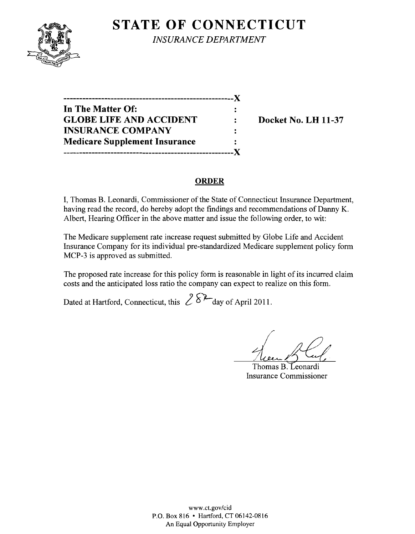## **STATE OF CONNECTICUT**



*INSURANCE DEPARTMENT* 

**------------------------------------------------------**)( **In The Matter Of: GLOBE LIFE AND ACCIDENT : Docket No. LH 11-37 INSURANCE COMPANY Medicare Supplement Insurance ------------------------------------------------------)(** 

#### **ORDER**

I, Thomas B. Leonardi, Commissioner of the State of Connecticut Insurance Department, having read the record, do hereby adopt the findings and recommendations of Danny K. Albert, Hearing Officer in the above matter and issue the following order, to wit:

The Medicare supplement rate increase request submitted by Globe Life and Accident Insurance Company for its individual pre-standardized Medicare supplement policy form MCP-3 is approved as submitted.

The proposed rate increase for this policy form is reasonable in light of its incurred claim costs and the anticipated loss ratio the company can expect to realize on this form.

Dated at Hartford, Connecticut, this  $28^2$  day of April 2011.

Thomas B. Leonardi Insurance Commissioner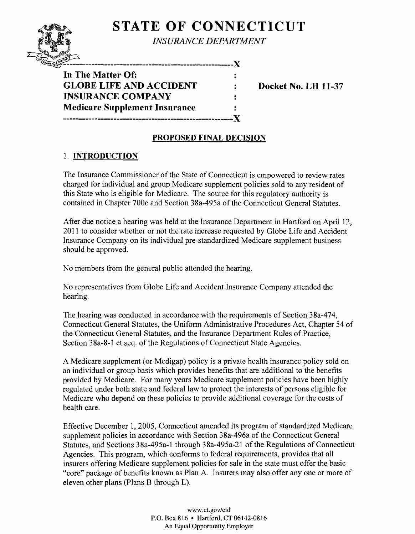# **STATE OF CONNECTICUT**

**INSURANCE DEPARTMENT** 

-------------------X

 $\ddot{\cdot}$ 

 $\ddot{\cdot}$ 

**In The Matter Of: GLOBE LIFE AND ACCIDENT : Docket No. LH 11-37 INSURANCE COMPANY Medicare Supplement Insurance ------------------------------------------------------)(** 

## **PROPOSED FINAL DECISION**

## 1. **INTRODUCTION**

The Insurance Commissioner of the State of Connecticut is empowered to review rates charged for individual and group Medicare supplement policies sold to any resident of this State who is eligible for Medicare. The source for this regulatory authority is contained in Chapter 700c and Section 38a-495a of the Connecticut General Statutes.

After due notice a hearing was held at the Insurance Department in Hartford on April 12, 2011 to consider whether or not the rate increase requested by Globe Life and Accident Insurance Company on its individual pre-standardized Medicare supplement business should be approved.

No members from the general public attended the hearing.

No representatives from Globe Life and Accident Insurance Company attended the hearing.

The hearing was conducted in accordance with the requirements of Section 38a-474, Connecticut General Statutes, the Uniform Administrative Procedures Act, Chapter 54 of the Connecticut General Statutes, and the Insurance Department Rules of Practice, Section 38a-8-l et seq. of the Regulations of Connecticut State Agencies.

A Medicare supplement (or Medigap) policy is a private health insurance policy sold on an individual or group basis which provides benefits that are additional to the benefits provided by Medicare. For many years Medicare supplement policies have been highly regulated under both state and federal law to protect the interests of persons eligible for Medicare who depend on these policies to provide additional coverage for the costs of health care.

Effective December 1,2005, Connecticut amended its program of standardized Medicare supplement policies in accordance with Section 38a-496a of the Connecticut General Statutes, and Sections 38a-495a-1 through 38a-495a-21 of the Regulations of Connecticut Agencies. This program, which conforms to federal requirements, provides that all insurers offering Medicare supplement policies for sale in the state must offer the basic "core" package of benefits known as Plan A. Insurers may also offer anyone or more of eleven other plans (Plans B through L).

> www.ct.gov/cid P.O. Box 816 • Hartford, CT 06142-0816 An Equal Opportunity Employer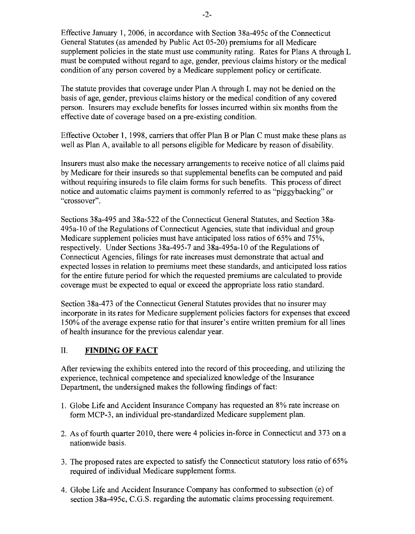Effective January 1,2006, in accordance with Section 38a-495c of the Connecticut General Statutes (as amended by Public Act 05-20) premiums for all Medicare supplement policies in the state must use community rating. Rates for Plans A through L must be computed without regard to age, gender, previous claims history or the medical condition of any person covered by a Medicare supplement policy or certificate.

The statute provides that coverage under Plan A through L may not be denied on the basis of age, gender, previous claims history or the medical condition of any covered person. Insurers may exclude benefits for losses incurred within six months from the effective date of coverage based on a pre-existing condition.

Effective October 1, 1998, carriers that offer Plan B or Plan C must make these plans as well as Plan A, available to all persons eligible for Medicare by reason of disability.

Insurers must also make the necessary arrangements to receive notice of all claims paid by Medicare for their insureds so that supplemental benefits can be computed and paid without requiring insureds to file claim forms for such benefits. This process of direct notice and automatic claims payment is commonly referred to as "piggybacking" or "crossover".

Sections 38a-495 and 38a-522 of the Connecticut General Statutes, and Section 38a-495a-l0 of the Regulations of Connecticut Agencies, state that individual and group Medicare supplement policies must have anticipated loss ratios of 65% and 75%, respectively. Under Sections 38a-495-7 and 38a-495a-l0 of the Regulations of Connecticut Agencies, filings for rate increases must demonstrate that actual and expected losses in relation to premiums meet these standards, and anticipated loss ratios for the entire future period for which the requested premiums are calculated to provide coverage must be expected to equal or exceed the appropriate loss ratio standard.

Section 38a-473 of the Connecticut General Statutes provides that no insurer may incorporate in its rates for Medicare supplement policies factors for expenses that exceed 150% of the average expense ratio for that insurer's entire written premium for all lines of health insurance for the previous calendar year.

#### II. **FINDING OF FACT**

After reviewing the exhibits entered into the record of this proceeding, and utilizing the experience, technical competence and specialized knowledge of the Insurance Department, the undersigned makes the following findings of fact:

- 1. Globe Life and Accident Insurance Company has requested an 8% rate increase on form MCP-3, an individual pre-standardized Medicare supplement plan.
- 2. As of fourth quarter 2010, there were 4 policies in-force in Connecticut and 373 on a nationwide basis.
- 3. The proposed rates are expected to satisfy the Connecticut statutory loss ratio of 65% required of individual Medicare supplement forms.
- 4. Globe Life and Accident Insurance Company has conformed to subsection (e) of section 38a-495c, C.G.S. regarding the automatic claims processing requirement.